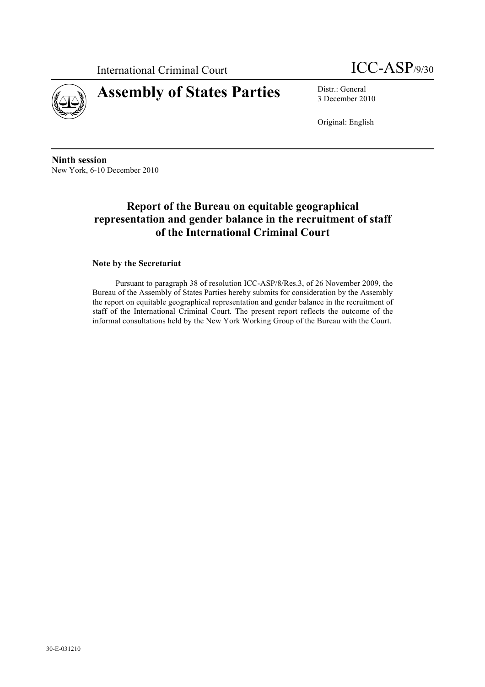International Criminal Court ICC-ASP/9/30





3 December 2010

Original: English

**Ninth session** New York, 6-10 December 2010

# **Report of the Bureau on equitable geographical representation and gender balance in the recruitment of staff of the International Criminal Court**

#### **Note by the Secretariat**

Pursuant to paragraph 38 of resolution ICC-ASP/8/Res.3, of 26 November 2009, the Bureau of the Assembly of States Parties hereby submits for consideration by the Assembly the report on equitable geographical representation and gender balance in the recruitment of staff of the International Criminal Court. The present report reflects the outcome of the informal consultations held by the New York Working Group of the Bureau with the Court.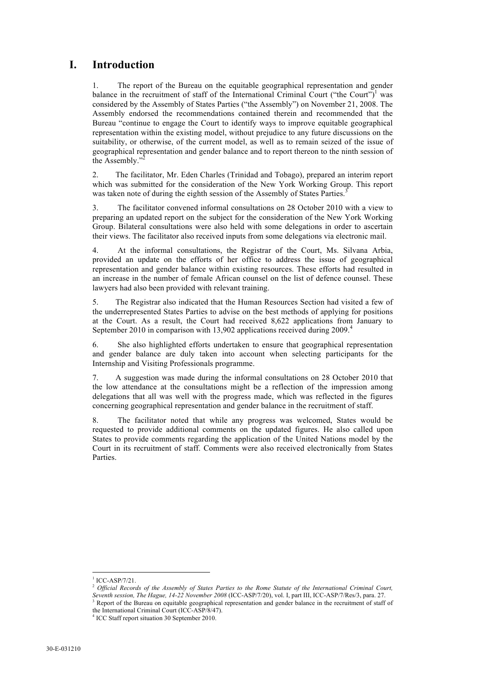## **I. Introduction**

1. The report of the Bureau on the equitable geographical representation and gender balance in the recruitment of staff of the International Criminal Court ("the Court")<sup>1</sup> was considered by the Assembly of States Parties ("the Assembly") on November 21, 2008. The Assembly endorsed the recommendations contained therein and recommended that the Bureau "continue to engage the Court to identify ways to improve equitable geographical representation within the existing model, without prejudice to any future discussions on the suitability, or otherwise, of the current model, as well as to remain seized of the issue of geographical representation and gender balance and to report thereon to the ninth session of the Assembly.'

2. The facilitator, Mr. Eden Charles (Trinidad and Tobago), prepared an interim report which was submitted for the consideration of the New York Working Group. This report was taken note of during the eighth session of the Assembly of States Parties.<sup>3</sup>

3. The facilitator convened informal consultations on 28 October 2010 with a view to preparing an updated report on the subject for the consideration of the New York Working Group. Bilateral consultations were also held with some delegations in order to ascertain their views. The facilitator also received inputs from some delegations via electronic mail.

4. At the informal consultations, the Registrar of the Court, Ms. Silvana Arbia, provided an update on the efforts of her office to address the issue of geographical representation and gender balance within existing resources. These efforts had resulted in an increase in the number of female African counsel on the list of defence counsel. These lawyers had also been provided with relevant training.

5. The Registrar also indicated that the Human Resources Section had visited a few of the underrepresented States Parties to advise on the best methods of applying for positions at the Court. As a result, the Court had received 8,622 applications from January to September 2010 in comparison with 13,902 applications received during 2009.<sup>4</sup>

6. She also highlighted efforts undertaken to ensure that geographical representation and gender balance are duly taken into account when selecting participants for the Internship and Visiting Professionals programme.

7. A suggestion was made during the informal consultations on 28 October 2010 that the low attendance at the consultations might be a reflection of the impression among delegations that all was well with the progress made, which was reflected in the figures concerning geographical representation and gender balance in the recruitment of staff.

8. The facilitator noted that while any progress was welcomed, States would be requested to provide additional comments on the updated figures. He also called upon States to provide comments regarding the application of the United Nations model by the Court in its recruitment of staff. Comments were also received electronically from States **Parties** 

!!!!!!!!!!!!!!!!!!!!!!!!!!!!!!!!!!!!!!!!!!!!!!!!!!!!!!!!!!!!

<sup>&</sup>lt;sup>1</sup> ICC-ASP/7/21.

<sup>2</sup> *Official Records of the Assembly of States Parties to the Rome Statute of the International Criminal Court, Seventh session, The Hague, 14-22 November 2008* (ICC-ASP/7/20), vol. I, part III, ICC-ASP/7/Res/3, para. 27.

<sup>&</sup>lt;sup>3</sup> Report of the Bureau on equitable geographical representation and gender balance in the recruitment of staff of the International Criminal Court (ICC-ASP/8/47).

<sup>4</sup> ICC Staff report situation 30 September 2010.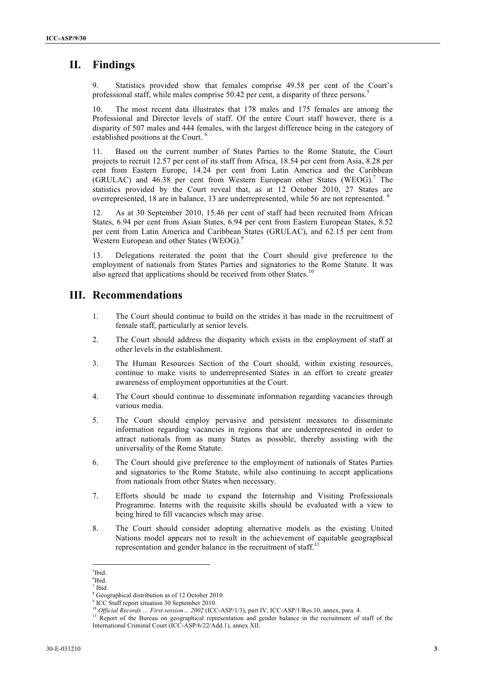## **II. Findings**

Statistics provided show that females comprise 49.58 per cent of the Court's professional staff, while males comprise 50.42 per cent, a disparity of three persons.<sup>5</sup>

10. The most recent data illustrates that 178 males and 175 females are among the Professional and Director levels of staff. Of the entire Court staff however, there is a disparity of 507 males and 444 females, with the largest difference being in the category of established positions at the Court. <sup>6</sup>

11. Based on the current number of States Parties to the Rome Statute, the Court projects to recruit 12.57 per cent of its staff from Africa, 18.54 per cent from Asia, 8.28 per cent from Eastern Europe, 14.24 per cent from Latin America and the Caribbean (GRULAC) and 46.38 per cent from Western European other States (WEOG).<sup>7</sup> The statistics provided by the Court reveal that, as at 12 October 2010, 27 States are overrepresented, 18 are in balance, 13 are underrepresented, while 56 are not represented. <sup>8</sup>

As at 30 September 2010, 15.46 per cent of staff had been recruited from African States, 6.94 per cent from Asian States, 6.94 per cent from Eastern European States, 8.52 per cent from Latin America and Caribbean States (GRULAC), and 62.15 per cent from Western European and other States (WEOG).<sup>9</sup>

13. Delegations reiterated the point that the Court should give preference to the employment of nationals from States Parties and signatories to the Rome Statute. It was also agreed that applications should be received from other States.<sup>10</sup>

#### **III. Recommendations**

- 1. The Court should continue to build on the strides it has made in the recruitment of female staff, particularly at senior levels.
- 2. The Court should address the disparity which exists in the employment of staff at other levels in the establishment.
- 3. The Human Resources Section of the Court should, within existing resources, continue to make visits to underrepresented States in an effort to create greater awareness of employment opportunities at the Court.
- 4. The Court should continue to disseminate information regarding vacancies through various media.
- 5. The Court should employ pervasive and persistent measures to disseminate information regarding vacancies in regions that are underrepresented in order to attract nationals from as many States as possible, thereby assisting with the universality of the Rome Statute.
- 6. The Court should give preference to the employment of nationals of States Parties and signatories to the Rome Statute, while also continuing to accept applications from nationals from other States when necessary.
- 7. Efforts should be made to expand the Internship and Visiting Professionals Programme. Interns with the requisite skills should be evaluated with a view to being hired to fill vacancies which may arise.
- 8. The Court should consider adopting alternative models as the existing United Nations model appears not to result in the achievement of equitable geographical representation and gender balance in the recruitment of staff. $<sup>11</sup>$ </sup>

<sup>!!!!!!!!!!!!!!!!!!!!!!!!!!!!!!!!!!!!!!!!!!!!!!!!!!!!!!!!!!!!</sup> 5 Ibid.

<sup>6</sup> Ibid.

 $<sup>7</sup>$  Ibid.</sup>

<sup>&</sup>lt;sup>8</sup> Geographical distribution as of 12 October 2010.

<sup>9</sup> ICC Staff report situation 30 September 2010.

<sup>10</sup> *Official Records … First session… 2002* (ICC-ASP/1/3), part IV, ICC-ASP/1/Res.10, annex, para. 4.

<sup>&</sup>lt;sup>11</sup> Report of the Bureau on geographical representation and gender balance in the recruitment of staff of the International Criminal Court (ICC-ASP/6/22/Add.1), annex XII.